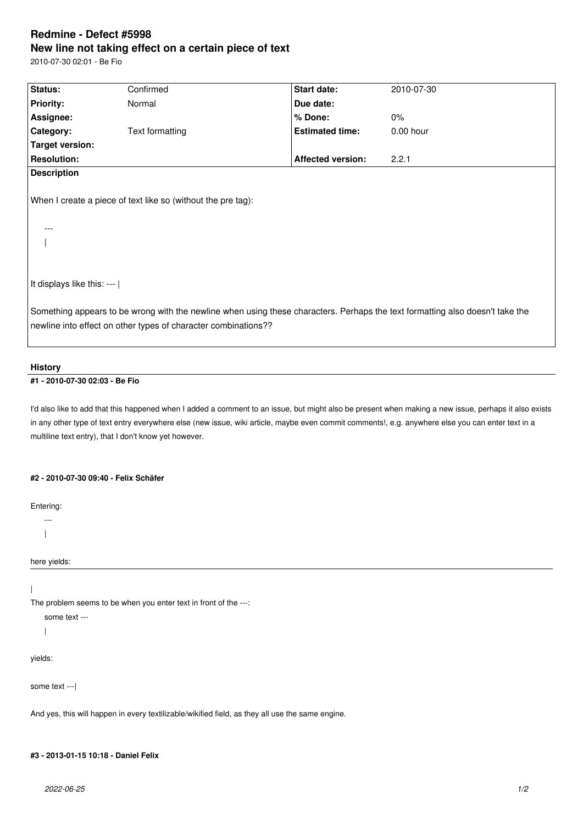# **Redmine - Defect #5998 New line not taking effect on a certain piece of text**

2010-07-30 02:01 - Ве Fio

| Status:                                                                                                                       | Confirmed       | Start date:              | 2010-07-30 |
|-------------------------------------------------------------------------------------------------------------------------------|-----------------|--------------------------|------------|
| <b>Priority:</b>                                                                                                              | Normal          | Due date:                |            |
| Assignee:                                                                                                                     |                 | % Done:                  | $0\%$      |
| Category:                                                                                                                     | Text formatting | <b>Estimated time:</b>   | 0.00 hour  |
| Target version:                                                                                                               |                 |                          |            |
| <b>Resolution:</b>                                                                                                            |                 | <b>Affected version:</b> | 2.2.1      |
| <b>Description</b>                                                                                                            |                 |                          |            |
| When I create a piece of text like so (without the pre tag):<br>It displays like this: ---                                    |                 |                          |            |
|                                                                                                                               |                 |                          |            |
| Something appears to be wrong with the newline when using these characters. Perhaps the text formatting also doesn't take the |                 |                          |            |
| newline into effect on other types of character combinations??                                                                |                 |                          |            |
|                                                                                                                               |                 |                          |            |

#### **History**

### **#1 - 2010-07-30 02:03 - Ве Fio**

I'd also like to add that this happened when I added a comment to an issue, but might also be present when making a new issue, perhaps it also exists in any other type of text entry everywhere else (new issue, wiki article, maybe even commit comments!, e.g. anywhere else you can enter text in a multiline text entry), that I don't know yet however.

#### **#2 - 2010-07-30 09:40 - Felix Schäfer**

Entering:

- ---  $\overline{\phantom{a}}$
- 

here yields:

|

The problem seems to be when you enter text in front of the ---:

some text ---

|

yields:

some text ---|

And yes, this will happen in every textilizable/wikified field, as they all use the same engine.

## **#3 - 2013-01-15 10:18 - Daniel Felix**